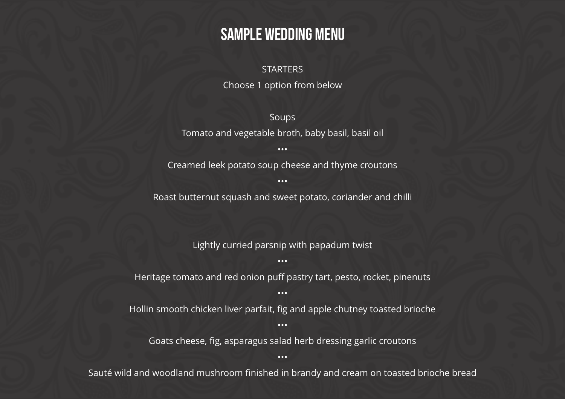### Sample Wedding Menu

### **STARTERS**

Choose 1 option from below

#### Soups

Tomato and vegetable broth, baby basil, basil oil

•••

Creamed leek potato soup cheese and thyme croutons

•••

Roast butternut squash and sweet potato, coriander and chilli

Lightly curried parsnip with papadum twist •••

### Heritage tomato and red onion puff pastry tart, pesto, rocket, pinenuts

#### •••

Hollin smooth chicken liver parfait, fig and apple chutney toasted brioche •••

### Goats cheese, fig, asparagus salad herb dressing garlic croutons

#### •••

Sauté wild and woodland mushroom finished in brandy and cream on toasted brioche bread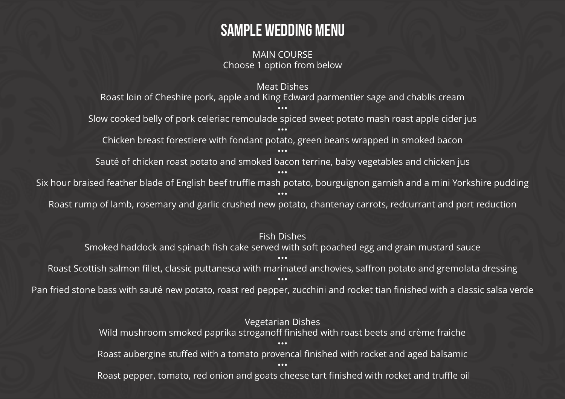## Sample Wedding Menu

MAIN COURSE Choose 1 option from below

Meat Dishes

Roast loin of Cheshire pork, apple and King Edward parmentier sage and chablis cream ••• Slow cooked belly of pork celeriac remoulade spiced sweet potato mash roast apple cider jus ••• Chicken breast forestiere with fondant potato, green beans wrapped in smoked bacon ••• Sauté of chicken roast potato and smoked bacon terrine, baby vegetables and chicken jus ••• Six hour braised feather blade of English beef truffle mash potato, bourguignon garnish and a mini Yorkshire pudding ••• Roast rump of lamb, rosemary and garlic crushed new potato, chantenay carrots, redcurrant and port reduction

Fish Dishes Smoked haddock and spinach fish cake served with soft poached egg and grain mustard sauce ••• Roast Scottish salmon fillet, classic puttanesca with marinated anchovies, saffron potato and gremolata dressing ••• Pan fried stone bass with sauté new potato, roast red pepper, zucchini and rocket tian finished with a classic salsa verde

> Vegetarian Dishes Wild mushroom smoked paprika stroganoff finished with roast beets and crème fraiche ••• Roast aubergine stuffed with a tomato provencal finished with rocket and aged balsamic ••• Roast pepper, tomato, red onion and goats cheese tart finished with rocket and truffle oil